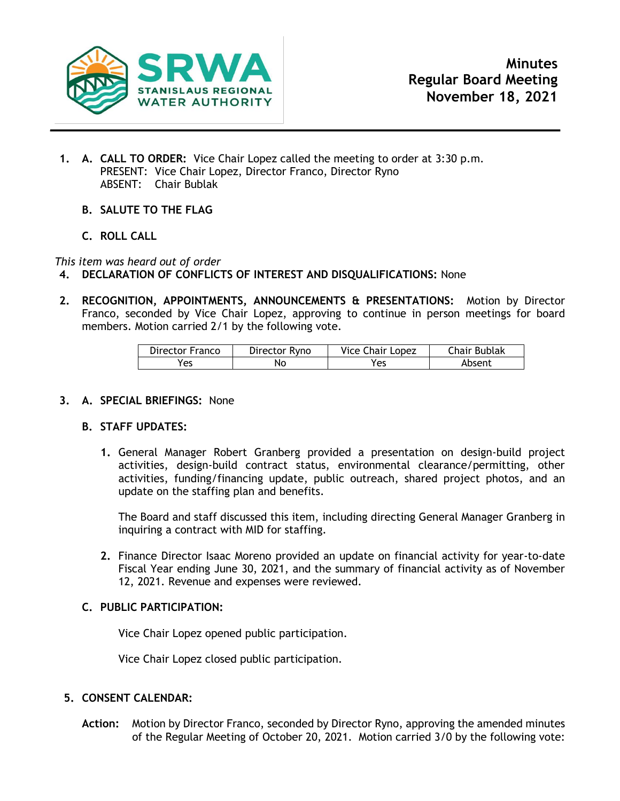

- **1. A. CALL TO ORDER:** Vice Chair Lopez called the meeting to order at 3:30 p.m. PRESENT: Vice Chair Lopez, Director Franco, Director Ryno ABSENT: Chair Bublak
	- **B. SALUTE TO THE FLAG**
	- **C. ROLL CALL**

*This item was heard out of order*

- **4. DECLARATION OF CONFLICTS OF INTEREST AND DISQUALIFICATIONS:** None
- **2. RECOGNITION, APPOINTMENTS, ANNOUNCEMENTS & PRESENTATIONS:** Motion by Director Franco, seconded by Vice Chair Lopez, approving to continue in person meetings for board members. Motion carried 2/1 by the following vote.

| Director Franco | Director Ryno | Vice Chair Lopez | Chair Bublak |
|-----------------|---------------|------------------|--------------|
| Yes             | Nο            | Yes              | Absent       |

## **3. A. SPECIAL BRIEFINGS:** None

## **B. STAFF UPDATES:**

**1.** General Manager Robert Granberg provided a presentation on design-build project activities, design-build contract status, environmental clearance/permitting, other activities, funding/financing update, public outreach, shared project photos, and an update on the staffing plan and benefits.

The Board and staff discussed this item, including directing General Manager Granberg in inquiring a contract with MID for staffing.

**2.** Finance Director Isaac Moreno provided an update on financial activity for year-to-date Fiscal Year ending June 30, 2021, and the summary of financial activity as of November 12, 2021. Revenue and expenses were reviewed.

## **C. PUBLIC PARTICIPATION:**

Vice Chair Lopez opened public participation.

Vice Chair Lopez closed public participation.

## **5. CONSENT CALENDAR:**

**Action:** Motion by Director Franco, seconded by Director Ryno, approving the amended minutes of the Regular Meeting of October 20, 2021. Motion carried 3/0 by the following vote: